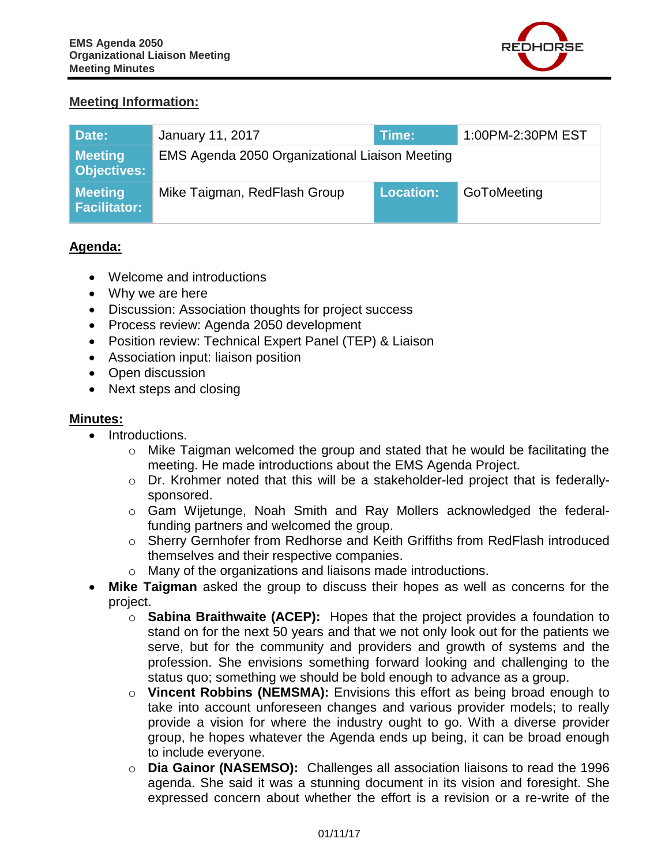

### **Meeting Information:**

| Date:                                | January 11, 2017                               | Time:            | 1:00PM-2:30PM EST |
|--------------------------------------|------------------------------------------------|------------------|-------------------|
| <b>Meeting</b><br><b>Objectives:</b> | EMS Agenda 2050 Organizational Liaison Meeting |                  |                   |
| <b>Meeting</b><br>Facilitator:       | Mike Taigman, RedFlash Group                   | <b>Location:</b> | GoToMeeting       |

## **Agenda:**

- Welcome and introductions
- Why we are here
- Discussion: Association thoughts for project success
- Process review: Agenda 2050 development
- Position review: Technical Expert Panel (TEP) & Liaison
- Association input: liaison position
- Open discussion
- Next steps and closing

#### **Minutes:**

- Introductions.
	- o Mike Taigman welcomed the group and stated that he would be facilitating the meeting. He made introductions about the EMS Agenda Project.
	- o Dr. Krohmer noted that this will be a stakeholder-led project that is federallysponsored.
	- o Gam Wijetunge, Noah Smith and Ray Mollers acknowledged the federalfunding partners and welcomed the group.
	- o Sherry Gernhofer from Redhorse and Keith Griffiths from RedFlash introduced themselves and their respective companies.
	- o Many of the organizations and liaisons made introductions.
- **Mike Taigman** asked the group to discuss their hopes as well as concerns for the project.
	- o **Sabina Braithwaite (ACEP):** Hopes that the project provides a foundation to stand on for the next 50 years and that we not only look out for the patients we serve, but for the community and providers and growth of systems and the profession. She envisions something forward looking and challenging to the status quo; something we should be bold enough to advance as a group.
	- o **Vincent Robbins (NEMSMA):** Envisions this effort as being broad enough to take into account unforeseen changes and various provider models; to really provide a vision for where the industry ought to go. With a diverse provider group, he hopes whatever the Agenda ends up being, it can be broad enough to include everyone.
	- o **Dia Gainor (NASEMSO):** Challenges all association liaisons to read the 1996 agenda. She said it was a stunning document in its vision and foresight. She expressed concern about whether the effort is a revision or a re-write of the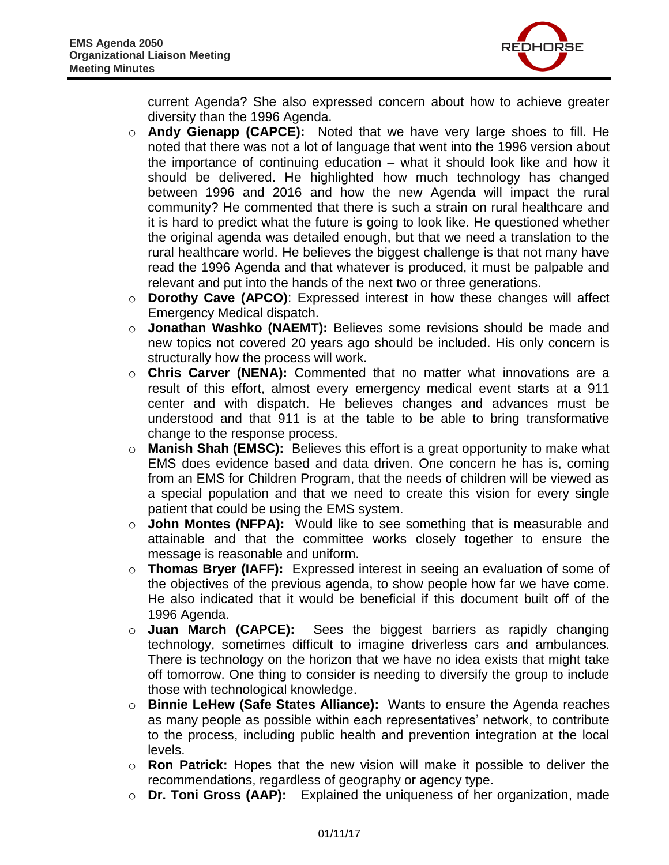

current Agenda? She also expressed concern about how to achieve greater diversity than the 1996 Agenda.

- o **Andy Gienapp (CAPCE):** Noted that we have very large shoes to fill. He noted that there was not a lot of language that went into the 1996 version about the importance of continuing education – what it should look like and how it should be delivered. He highlighted how much technology has changed between 1996 and 2016 and how the new Agenda will impact the rural community? He commented that there is such a strain on rural healthcare and it is hard to predict what the future is going to look like. He questioned whether the original agenda was detailed enough, but that we need a translation to the rural healthcare world. He believes the biggest challenge is that not many have read the 1996 Agenda and that whatever is produced, it must be palpable and relevant and put into the hands of the next two or three generations.
- o **Dorothy Cave (APCO)**: Expressed interest in how these changes will affect Emergency Medical dispatch.
- o **Jonathan Washko (NAEMT):** Believes some revisions should be made and new topics not covered 20 years ago should be included. His only concern is structurally how the process will work.
- o **Chris Carver (NENA):** Commented that no matter what innovations are a result of this effort, almost every emergency medical event starts at a 911 center and with dispatch. He believes changes and advances must be understood and that 911 is at the table to be able to bring transformative change to the response process.
- o **Manish Shah (EMSC):** Believes this effort is a great opportunity to make what EMS does evidence based and data driven. One concern he has is, coming from an EMS for Children Program, that the needs of children will be viewed as a special population and that we need to create this vision for every single patient that could be using the EMS system.
- o **John Montes (NFPA):** Would like to see something that is measurable and attainable and that the committee works closely together to ensure the message is reasonable and uniform.
- o **Thomas Bryer (IAFF):** Expressed interest in seeing an evaluation of some of the objectives of the previous agenda, to show people how far we have come. He also indicated that it would be beneficial if this document built off of the 1996 Agenda.
- o **Juan March (CAPCE):** Sees the biggest barriers as rapidly changing technology, sometimes difficult to imagine driverless cars and ambulances. There is technology on the horizon that we have no idea exists that might take off tomorrow. One thing to consider is needing to diversify the group to include those with technological knowledge.
- o **Binnie LeHew (Safe States Alliance):** Wants to ensure the Agenda reaches as many people as possible within each representatives' network, to contribute to the process, including public health and prevention integration at the local levels.
- o **Ron Patrick:** Hopes that the new vision will make it possible to deliver the recommendations, regardless of geography or agency type.
- o **Dr. Toni Gross (AAP):** Explained the uniqueness of her organization, made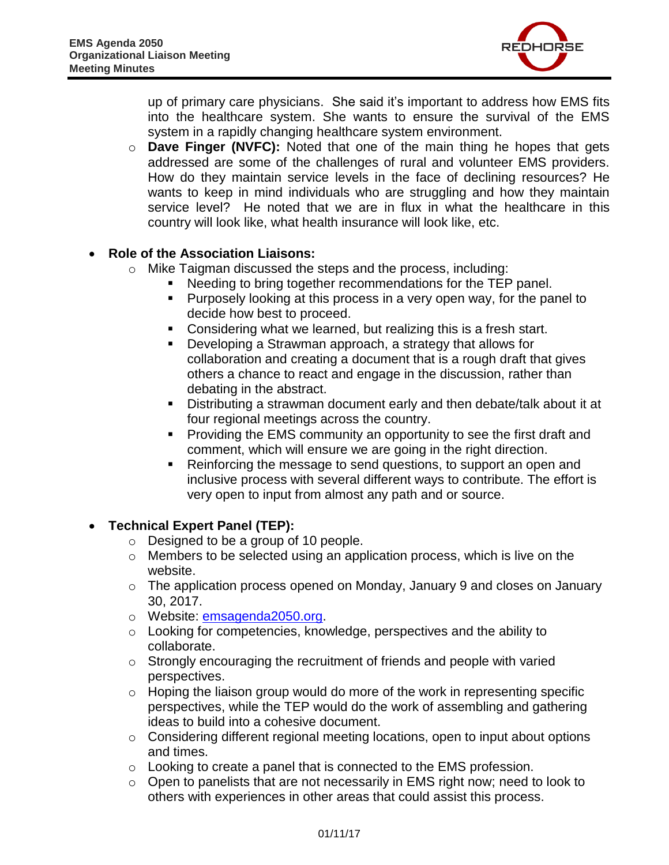

up of primary care physicians. She said it's important to address how EMS fits into the healthcare system. She wants to ensure the survival of the EMS system in a rapidly changing healthcare system environment.

o **Dave Finger (NVFC):** Noted that one of the main thing he hopes that gets addressed are some of the challenges of rural and volunteer EMS providers. How do they maintain service levels in the face of declining resources? He wants to keep in mind individuals who are struggling and how they maintain service level? He noted that we are in flux in what the healthcare in this country will look like, what health insurance will look like, etc.

## **Role of the Association Liaisons:**

- o Mike Taigman discussed the steps and the process, including:
	- Needing to bring together recommendations for the TEP panel.
	- **Purposely looking at this process in a very open way, for the panel to** decide how best to proceed.
	- **Considering what we learned, but realizing this is a fresh start.**
	- Developing a Strawman approach, a strategy that allows for collaboration and creating a document that is a rough draft that gives others a chance to react and engage in the discussion, rather than debating in the abstract.
	- Distributing a strawman document early and then debate/talk about it at four regional meetings across the country.
	- **Providing the EMS community an opportunity to see the first draft and** comment, which will ensure we are going in the right direction.
	- Reinforcing the message to send questions, to support an open and inclusive process with several different ways to contribute. The effort is very open to input from almost any path and or source.

#### **Technical Expert Panel (TEP):**

- o Designed to be a group of 10 people.
- o Members to be selected using an application process, which is live on the website.
- o The application process opened on Monday, January 9 and closes on January 30, 2017.
- o Website: [emsagenda2050.org.](http://emsagenda2050.org/)
- o Looking for competencies, knowledge, perspectives and the ability to collaborate.
- o Strongly encouraging the recruitment of friends and people with varied perspectives.
- $\circ$  Hoping the liaison group would do more of the work in representing specific perspectives, while the TEP would do the work of assembling and gathering ideas to build into a cohesive document.
- $\circ$  Considering different regional meeting locations, open to input about options and times.
- o Looking to create a panel that is connected to the EMS profession.
- o Open to panelists that are not necessarily in EMS right now; need to look to others with experiences in other areas that could assist this process.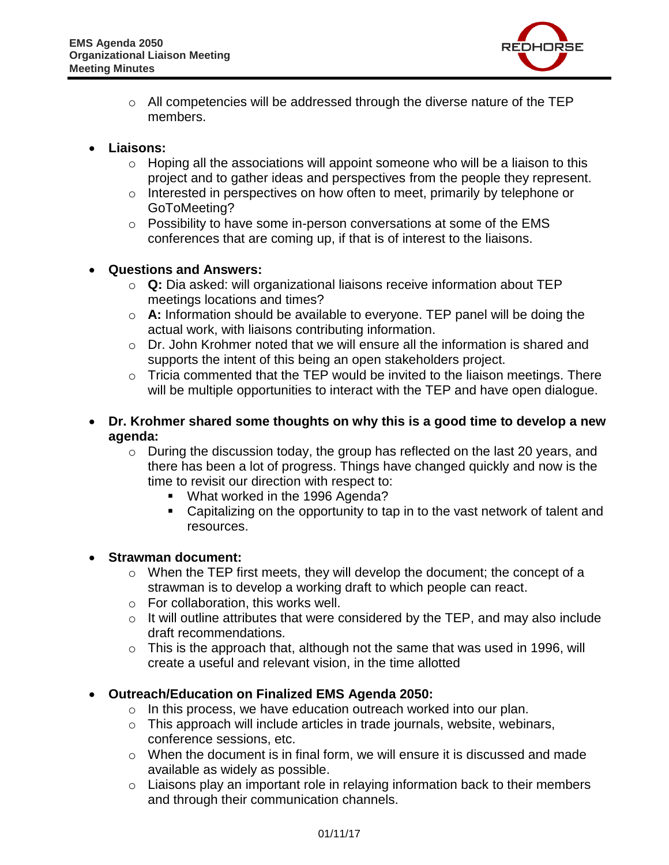

- o All competencies will be addressed through the diverse nature of the TEP members.
- **Liaisons:**
	- $\circ$  Hoping all the associations will appoint someone who will be a liaison to this project and to gather ideas and perspectives from the people they represent.
	- o Interested in perspectives on how often to meet, primarily by telephone or GoToMeeting?
	- $\circ$  Possibility to have some in-person conversations at some of the EMS conferences that are coming up, if that is of interest to the liaisons.

## **Questions and Answers:**

- o **Q:** Dia asked: will organizational liaisons receive information about TEP meetings locations and times?
- o **A:** Information should be available to everyone. TEP panel will be doing the actual work, with liaisons contributing information.
- $\circ$  Dr. John Krohmer noted that we will ensure all the information is shared and supports the intent of this being an open stakeholders project.
- $\circ$  Tricia commented that the TEP would be invited to the liaison meetings. There will be multiple opportunities to interact with the TEP and have open dialogue.
- **Dr. Krohmer shared some thoughts on why this is a good time to develop a new agenda:**
	- o During the discussion today, the group has reflected on the last 20 years, and there has been a lot of progress. Things have changed quickly and now is the time to revisit our direction with respect to:
		- **What worked in the 1996 Agenda?**
		- Capitalizing on the opportunity to tap in to the vast network of talent and resources.

#### **Strawman document:**

- o When the TEP first meets, they will develop the document; the concept of a strawman is to develop a working draft to which people can react.
- o For collaboration, this works well.
- $\circ$  It will outline attributes that were considered by the TEP, and may also include draft recommendations.
- o This is the approach that, although not the same that was used in 1996, will create a useful and relevant vision, in the time allotted

# **Outreach/Education on Finalized EMS Agenda 2050:**

- o In this process, we have education outreach worked into our plan.
- o This approach will include articles in trade journals, website, webinars, conference sessions, etc.
- o When the document is in final form, we will ensure it is discussed and made available as widely as possible.
- o Liaisons play an important role in relaying information back to their members and through their communication channels.